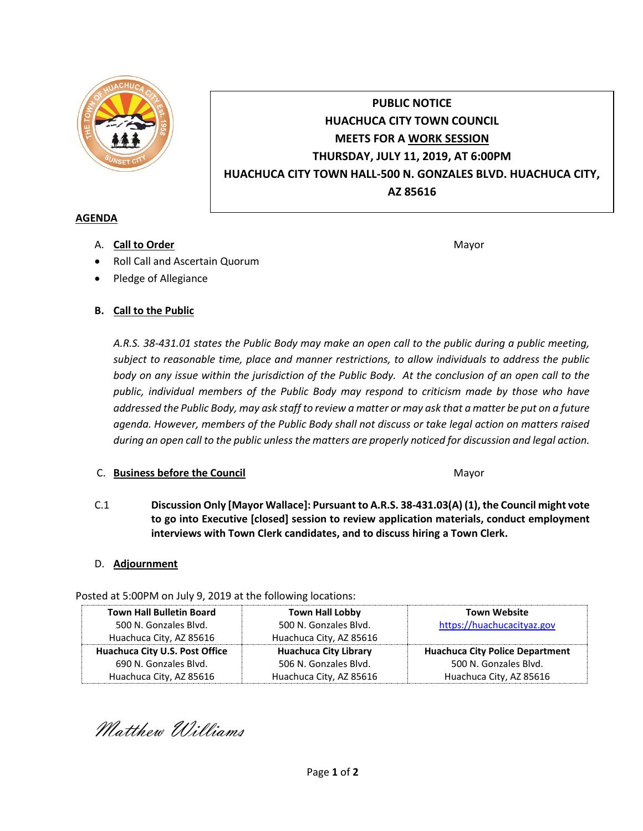

# **PUBLIC NOTICE HUACHUCA CITY TOWN COUNCIL MEETS FOR A WORK SESSION THURSDAY, JULY 11, 2019, AT 6:00PM HUACHUCA CITY TOWN HALL-500 N. GONZALES BLVD. HUACHUCA CITY, AZ 85616**

#### **AGENDA**

A. **Call to Order** Mayor **Mayor** Mayor **Mayor** Mayor **Mayor** 

- Roll Call and Ascertain Quorum
- Pledge of Allegiance
- **B. Call to the Public**

*A.R.S. 38-431.01 states the Public Body may make an open call to the public during a public meeting, subject to reasonable time, place and manner restrictions, to allow individuals to address the public body on any issue within the jurisdiction of the Public Body. At the conclusion of an open call to the public, individual members of the Public Body may respond to criticism made by those who have addressed the Public Body, may ask staff to review a matter or may ask that a matter be put on a future agenda. However, members of the Public Body shall not discuss or take legal action on matters raised during an open call to the public unless the matters are properly noticed for discussion and legal action.*

## C. **Business before the Council** Mayor

C.1 **Discussion Only [Mayor Wallace]: Pursuant to A.R.S. 38-431.03(A) (1), the Council might vote to go into Executive [closed] session to review application materials, conduct employment interviews with Town Clerk candidates, and to discuss hiring a Town Clerk.** 

## D. **Adjournment**

Posted at 5:00PM on July 9, 2019 at the following locations:

| <b>Town Hall Bulletin Board</b> | <b>Town Hall Lobby</b>       | <b>Town Website</b>                    |
|---------------------------------|------------------------------|----------------------------------------|
| 500 N. Gonzales Blvd.           | 500 N. Gonzales Blvd.        | https://huachucacityaz.gov             |
| Huachuca City, AZ 85616         | Huachuca City, AZ 85616      |                                        |
| Huachuca City U.S. Post Office  | <b>Huachuca City Library</b> | <b>Huachuca City Police Department</b> |
| 690 N. Gonzales Blvd.           | 506 N. Gonzales Blvd.        | 500 N. Gonzales Blvd.                  |
| Huachuca City, AZ 85616         | Huachuca City, AZ 85616      | Huachuca City, AZ 85616                |

Matthew Williams